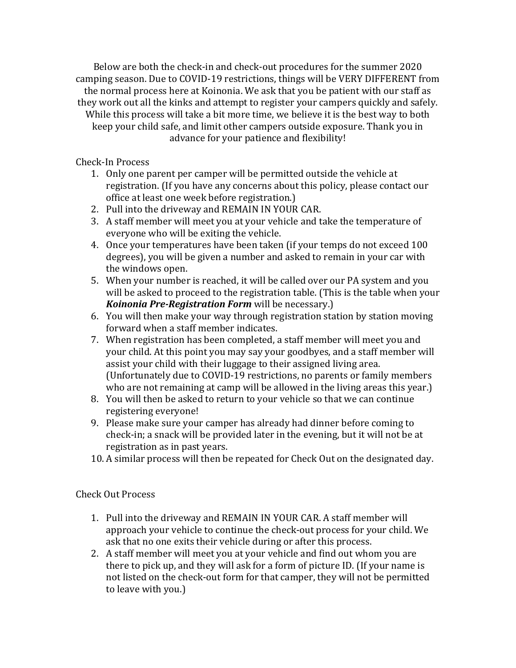Below are both the check-in and check-out procedures for the summer 2020 camping season. Due to COVID-19 restrictions, things will be VERY DIFFERENT from the normal process here at Koinonia. We ask that you be patient with our staff as they work out all the kinks and attempt to register your campers quickly and safely. While this process will take a bit more time, we believe it is the best way to both keep your child safe, and limit other campers outside exposure. Thank you in advance for your patience and flexibility!

Check-In Process

- 1. Only one parent per camper will be permitted outside the vehicle at registration. (If you have any concerns about this policy, please contact our office at least one week before registration.)
- 2. Pull into the driveway and REMAIN IN YOUR CAR.
- 3. A staff member will meet you at your vehicle and take the temperature of everyone who will be exiting the vehicle.
- 4. Once your temperatures have been taken (if your temps do not exceed 100 degrees), you will be given a number and asked to remain in your car with the windows open.
- 5. When your number is reached, it will be called over our PA system and you will be asked to proceed to the registration table. (This is the table when your *Koinonia Pre‐Registration Form* will be necessary.)
- 6. You will then make your way through registration station by station moving forward when a staff member indicates.
- 7. When registration has been completed, a staff member will meet you and your child. At this point you may say your goodbyes, and a staff member will assist your child with their luggage to their assigned living area. (Unfortunately due to COVID-19 restrictions, no parents or family members who are not remaining at camp will be allowed in the living areas this year.)
- 8. You will then be asked to return to your vehicle so that we can continue registering everyone!
- 9. Please make sure your camper has already had dinner before coming to check-in; a snack will be provided later in the evening, but it will not be at registration as in past years.
- 10. A similar process will then be repeated for Check Out on the designated day.

## Check Out Process

- 1. Pull into the driveway and REMAIN IN YOUR CAR. A staff member will approach your vehicle to continue the check-out process for your child. We ask that no one exits their vehicle during or after this process.
- 2. A staff member will meet you at your vehicle and find out whom you are there to pick up, and they will ask for a form of picture ID. (If your name is not listed on the check-out form for that camper, they will not be permitted to leave with you.)